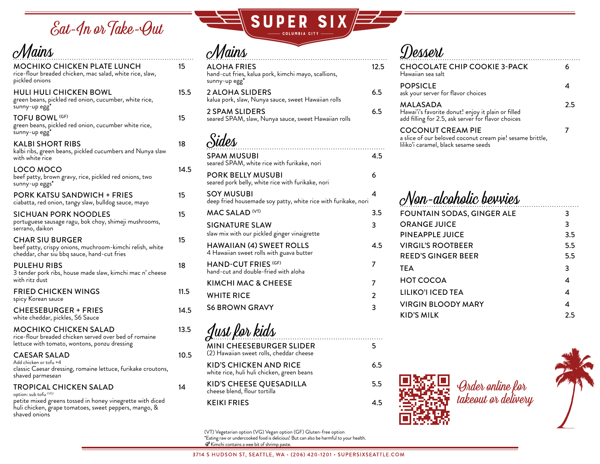Eat-In or Take-Out

| Mains                                                                                                                             |      |
|-----------------------------------------------------------------------------------------------------------------------------------|------|
| MOCHIKO CHICKEN PLATE LUNCH<br>rice-flour breaded chicken, mac salad, white rice, slaw,<br>pickled onions                         | 15   |
| <b>HULI HULI CHICKEN BOWL</b><br>green beans, pickled red onion, cucumber, white rice,<br>sunny-up egg                            | 15.5 |
| <b>TOFU BOWL (GF)</b><br>green beans, pickled red onion, cucumber white rice,<br>sunny-up egg*                                    | 15   |
| <b>KALBI SHORT RIBS</b><br>kalbi ribs, green beans, pickled cucumbers and Nunya slaw<br>with white rice                           | 18   |
| LOCO MOCO<br>beef patty, brown gravy, rice, pickled red onions, two<br>sunny-up eggs*                                             | 14.5 |
| <b>PORK KATSU SANDWICH + FRIES</b><br>ciabatta, red onion, tangy slaw, bulldog sauce, mayo                                        | 15   |
| SICHUAN PORK NOODLES<br>portuguese sausage ragu, bok choy, shimeji mushrooms,<br>serrano, daikon                                  | 15   |
| <b>CHAR SIU BURGER</b><br>beef patty, crispy onions, muchroom-kimchi relish, white<br>cheddar, char siu bbq sauce, hand-cut fries | 15   |
| PULEHU RIBS<br>3 tender pork ribs, house made slaw, kimchi mac n' cheese<br>with ritz dust                                        | 18   |
| <b>FRIED CHICKEN WINGS</b><br>spicy Korean sauce                                                                                  | 11.5 |
| <b>CHEESEBURGER + FRIES</b><br>white cheddar, pickles, S6 Sauce                                                                   | 14.5 |
| MOCHIKO CHICKEN SALAD<br>rice-flour breaded chicken served over bed of romaine<br>lettuce with tomato, wontons, ponzu dressing    | 13.5 |
| <b>CAESAR SALAD</b><br>Add chicken or tofu +4<br>classic Caesar dressing, romaine lettuce, furikake croutons,<br>shaved parmesean | 10.5 |
| <b>TROPICAL CHICKEN SALAD</b><br>option: sub tofu (VG)                                                                            | 14   |

petite mixed greens tossed in honey vinegrette with diced huli chicken, grape tomatoes, sweet peppers, mango, & shaved onions



## Mains

| <b>ALOHA FRIES</b><br>hand-cut fries, kalua pork, kimchi mayo, scallions,<br>sunny-up egg* | 12.5           |
|--------------------------------------------------------------------------------------------|----------------|
| 2 ALOHA SLIDERS<br>kalua pork, slaw, Nunya sauce, sweet Hawaiian rolls                     | 6.5            |
| 2 SPAM SLIDERS<br>seared SPAM, slaw, Nunya sauce, sweet Hawaiian rolls                     | 6.5            |
| Sides                                                                                      |                |
| <b>SPAM MUSUBI</b><br>seared SPAM, white rice with furikake, nori                          | 4.5            |
| <b>PORK BELLY MUSUBI</b><br>seared pork belly, white rice with furikake, nori              | 6              |
| <b>SOY MUSUBI</b><br>deep fried housemade soy patty, white rice with furikake, nori        | 4              |
| MAC SALAD <sup>(VT)</sup>                                                                  | 3.5            |
| <b>SIGNATURE SLAW</b><br>slaw mix with our pickled ginger vinaigrette                      | 3              |
| <b>HAWAIIAN (4) SWEET ROLLS</b><br>4 Hawaiian sweet rolls with guava butter                | 4.5            |
| <b>HAND-CUT FRIES (GF)</b><br>hand-cut and double-fried with aloha                         | 7              |
| <b>KIMCHI MAC &amp; CHEESE</b>                                                             | 7              |
| <b>WHITE RICE</b>                                                                          | $\overline{2}$ |
| <b>S6 BROWN GRAVY</b>                                                                      | 3              |

## Dossort.

| <b>CHOCOLATE CHIP COOKIE 3-PACK</b><br>Hawaiian sea salt                                                                      |     |
|-------------------------------------------------------------------------------------------------------------------------------|-----|
| <b>POPSICLE</b><br>ask your server for flavor choices                                                                         |     |
| MALASADA<br>Hawai'i's favorite donut! enjoy it plain or filled<br>add filling for 2.5, ask server for flavor choices          | 2.5 |
| <b>COCONUT CREAM PIE</b><br>a slice of our beloved coconut cream pie! sesame brittle,<br>liliko'i caramel, black sesame seeds |     |
|                                                                                                                               |     |

## Non-alcoholic bevvies

| <b>FOUNTAIN SODAS, GINGER ALE</b> | 3   |
|-----------------------------------|-----|
| <b>ORANGE JUICE</b>               | 3   |
| PINEAPPLE JUICE                   | 3.5 |
| <b>VIRGIL'S ROOTBEER</b>          | 5.5 |
| <b>REED'S GINGER BEER</b>         | 5.5 |
| <b>TEA</b>                        | 3   |
| <b>HOT COCOA</b>                  | 4   |
| LILIKO'I ICED TEA                 | 4   |
| <b>VIRGIN BLOODY MARY</b>         | 4   |
| KID'S MILK                        | 2.5 |
|                                   |     |



(VT) Vegetarian option (VG) Vegan option (GF) Gluten-free option \*Eating raw or undercooked food is delicious! But can also be harmful to your health.

MINI CHEESEBURGER SLIDER 5

Kimchi contains a wee bit of shrimp paste.

(2) Hawaiian sweet rolls, cheddar cheese

white rice, huli huli chicken, green beans

cheese blend, flour tortilla